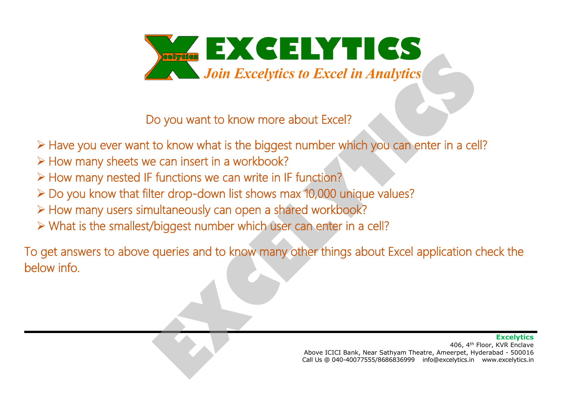

Do you want to know more about Excel?

- ➢ Have you ever want to know what is the biggest number which you can enter in a cell?
- ➢ How many sheets we can insert in a workbook?
- ➢ How many nested IF functions we can write in IF function?
- ➢ Do you know that filter drop-down list shows max 10,000 unique values?
- ➢ How many users simultaneously can open a shared workbook?
- ➢ What is the smallest/biggest number which user can enter in a cell?

To get answers to above queries and to know many other things about Excel application check the below info.

#### **Excelvtics**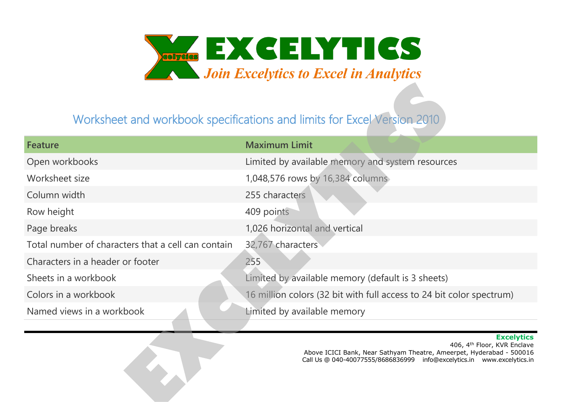

### Worksheet and workbook specifications and limits for Excel Version 2010

| Feature                                            | <b>Maximum Limit</b>                                                 |
|----------------------------------------------------|----------------------------------------------------------------------|
| Open workbooks                                     | Limited by available memory and system resources                     |
| Worksheet size                                     | 1,048,576 rows by 16,384 columns                                     |
| Column width                                       | 255 characters                                                       |
| Row height                                         | 409 points                                                           |
| Page breaks                                        | 1,026 horizontal and vertical                                        |
| Total number of characters that a cell can contain | 32,767 characters                                                    |
| Characters in a header or footer                   | 255                                                                  |
| Sheets in a workbook                               | Limited by available memory (default is 3 sheets)                    |
| Colors in a workbook                               | 16 million colors (32 bit with full access to 24 bit color spectrum) |
| Named views in a workbook                          | Limited by available memory                                          |

#### **Excelytics**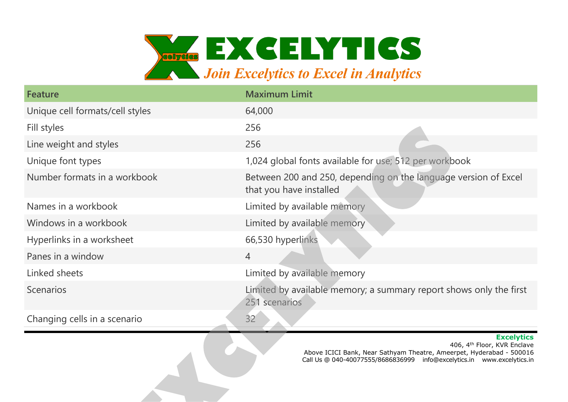

| <b>Feature</b>                  | <b>Maximum Limit</b>                                                                       |
|---------------------------------|--------------------------------------------------------------------------------------------|
| Unique cell formats/cell styles | 64,000                                                                                     |
| Fill styles                     | 256                                                                                        |
| Line weight and styles          | 256                                                                                        |
| Unique font types               | 1,024 global fonts available for use; 512 per workbook                                     |
| Number formats in a workbook    | Between 200 and 250, depending on the language version of Excel<br>that you have installed |
| Names in a workbook             | Limited by available memory                                                                |
| Windows in a workbook           | Limited by available memory                                                                |
| Hyperlinks in a worksheet       | 66,530 hyperlinks                                                                          |
| Panes in a window               | $\overline{4}$                                                                             |
| Linked sheets                   | Limited by available memory                                                                |
| <b>Scenarios</b>                | Limited by available memory; a summary report shows only the first<br>251 scenarios        |
| Changing cells in a scenario    | 32                                                                                         |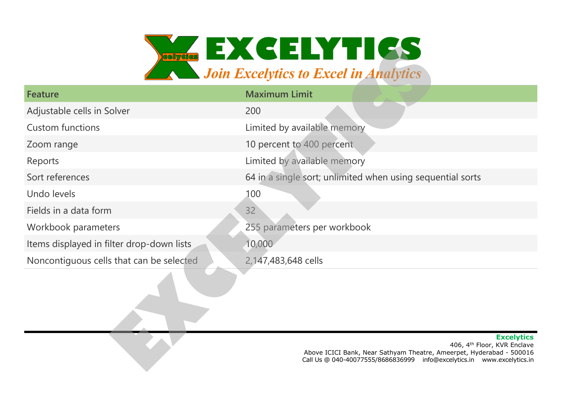

| <b>Feature</b>                            | <b>Maximum Limit</b>                                       |
|-------------------------------------------|------------------------------------------------------------|
| Adjustable cells in Solver                | 200                                                        |
| <b>Custom functions</b>                   | Limited by available memory                                |
| Zoom range                                | 10 percent to 400 percent                                  |
| Reports                                   | Limited by available memory                                |
| Sort references                           | 64 in a single sort; unlimited when using sequential sorts |
| Undo levels                               | 100                                                        |
| Fields in a data form                     | 32                                                         |
| Workbook parameters                       | 255 parameters per workbook                                |
| Items displayed in filter drop-down lists | 10,000                                                     |
| Noncontiguous cells that can be selected  | 2,147,483,648 cells                                        |
|                                           |                                                            |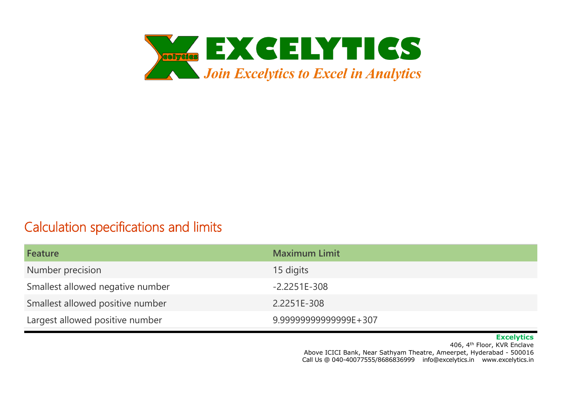

### Calculation specifications and limits

| Feature                          | <b>Maximum Limit</b>  |
|----------------------------------|-----------------------|
| Number precision                 | 15 digits             |
| Smallest allowed negative number | $-2.2251E - 308$      |
| Smallest allowed positive number | 2.2251E-308           |
| Largest allowed positive number  | 9.99999999999999E+307 |

#### **Excelytics**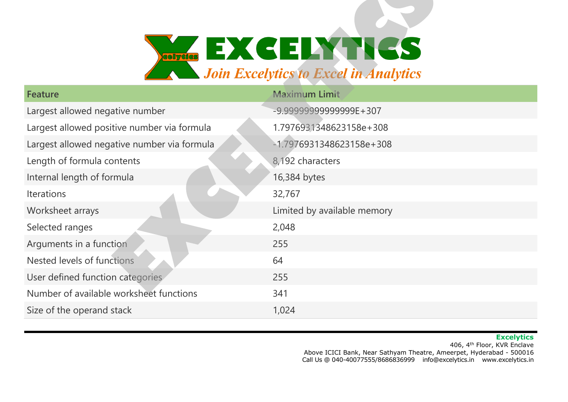

| <b>Feature</b>                              | <b>Maximum Limit</b>        |
|---------------------------------------------|-----------------------------|
| Largest allowed negative number             | $-9.99999999999999E+307$    |
| Largest allowed positive number via formula | 1.7976931348623158e+308     |
| Largest allowed negative number via formula | $-1.7976931348623158e+308$  |
| Length of formula contents                  | 8,192 characters            |
| Internal length of formula                  | 16,384 bytes                |
| <b>Iterations</b>                           | 32,767                      |
| Worksheet arrays                            | Limited by available memory |
| Selected ranges                             | 2,048                       |
| Arguments in a function                     | 255                         |
| Nested levels of functions                  | 64                          |
| User defined function categories            | 255                         |
| Number of available worksheet functions     | 341                         |
| Size of the operand stack                   | 1,024                       |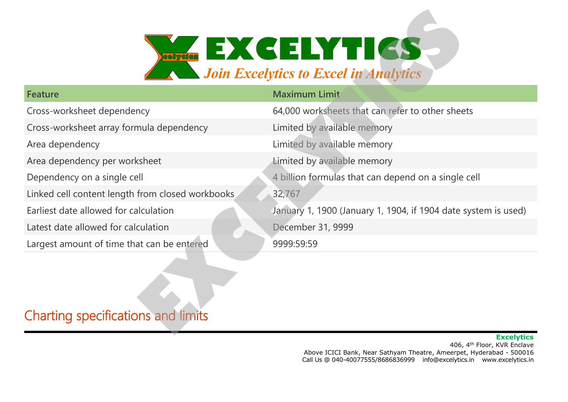

| <b>Feature</b>                                   | <b>Maximum Limit</b>                                           |
|--------------------------------------------------|----------------------------------------------------------------|
| Cross-worksheet dependency                       | 64,000 worksheets that can refer to other sheets               |
| Cross-worksheet array formula dependency         | Limited by available memory                                    |
| Area dependency                                  | Limited by available memory                                    |
| Area dependency per worksheet                    | Limited by available memory                                    |
| Dependency on a single cell                      | 4 billion formulas that can depend on a single cell            |
| Linked cell content length from closed workbooks | 32,767                                                         |
| Earliest date allowed for calculation            | January 1, 1900 (January 1, 1904, if 1904 date system is used) |
| Latest date allowed for calculation              | December 31, 9999                                              |
| Largest amount of time that can be entered       | 9999:59:59                                                     |
|                                                  |                                                                |

## Charting specifications and limits

#### **Excelytics**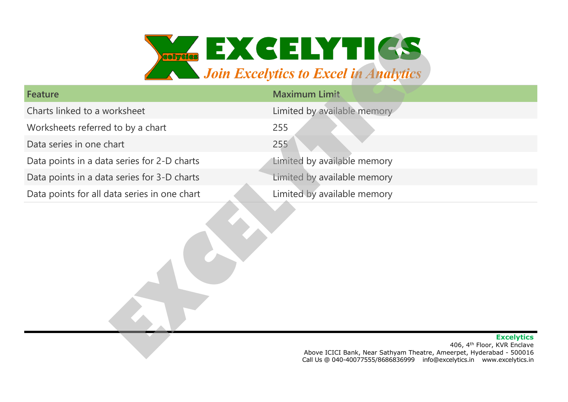

| Feature                                      | <b>Maximum Limit</b>        |
|----------------------------------------------|-----------------------------|
| Charts linked to a worksheet                 | Limited by available memory |
| Worksheets referred to by a chart            | 255                         |
| Data series in one chart                     | 255                         |
| Data points in a data series for 2-D charts  | Limited by available memory |
| Data points in a data series for 3-D charts  | Limited by available memory |
| Data points for all data series in one chart | Limited by available memory |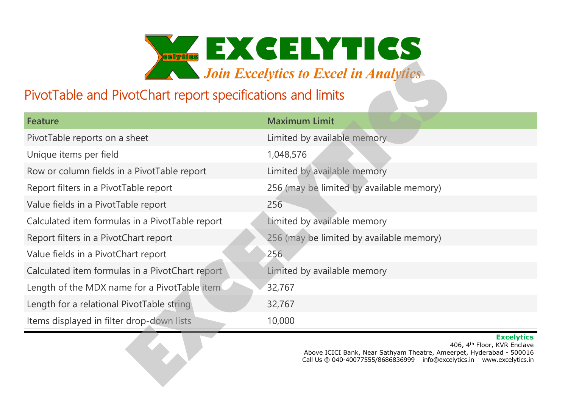

### PivotTable and PivotChart report specifications and limits

| Feature                                         | <b>Maximum Limit</b>                     |
|-------------------------------------------------|------------------------------------------|
| PivotTable reports on a sheet                   | Limited by available memory.             |
| Unique items per field                          | 1,048,576                                |
| Row or column fields in a PivotTable report     | Limited by available memory              |
| Report filters in a PivotTable report           | 256 (may be limited by available memory) |
| Value fields in a PivotTable report             | 256                                      |
| Calculated item formulas in a PivotTable report | Limited by available memory              |
| Report filters in a PivotChart report           | 256 (may be limited by available memory) |
| Value fields in a PivotChart report             | 256                                      |
| Calculated item formulas in a PivotChart report | Limited by available memory              |
| Length of the MDX name for a PivotTable item    | 32,767                                   |
| Length for a relational PivotTable string       | 32,767                                   |
| Items displayed in filter drop-down lists       | 10,000                                   |

#### **Excelytics**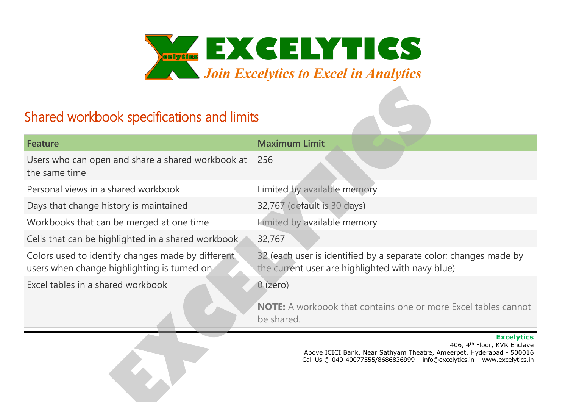

## Shared workbook specifications and limits

| <b>Feature</b>                                                                                   | <b>Maximum Limit</b>                                                                                                 |
|--------------------------------------------------------------------------------------------------|----------------------------------------------------------------------------------------------------------------------|
| Users who can open and share a shared workbook at<br>the same time                               | 256                                                                                                                  |
| Personal views in a shared workbook                                                              | Limited by available memory                                                                                          |
| Days that change history is maintained                                                           | 32,767 (default is 30 days)                                                                                          |
| Workbooks that can be merged at one time                                                         | Limited by available memory                                                                                          |
| Cells that can be highlighted in a shared workbook                                               | 32,767                                                                                                               |
| Colors used to identify changes made by different<br>users when change highlighting is turned on | 32 (each user is identified by a separate color; changes made by<br>the current user are highlighted with navy blue) |
| Excel tables in a shared workbook                                                                | $0$ (zero)                                                                                                           |
|                                                                                                  | <b>NOTE:</b> A workbook that contains one or more Excel tables cannot<br>be shared.                                  |

#### **Excelytics**